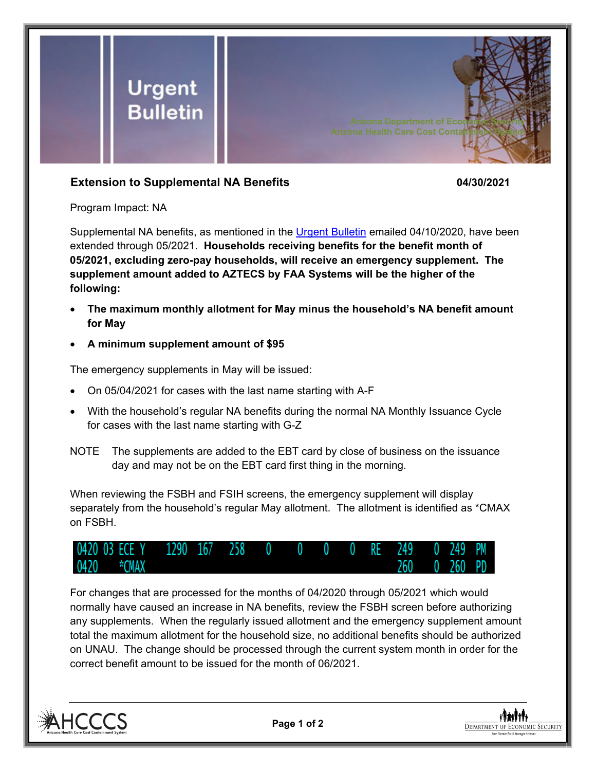

## **Extension to Supplemental NA Benefits 04/30/2021**

Program Impact: NA

Supplemental NA benefits, as mentioned in the [Urgent Bulletin](https://dbmefaapolicy.azdes.gov/FAA5/baggage/Urgent%20Bulletin%20(04-10-2020)%20-%20Supplemental%20Nutrition%20Assistance%20Benefits%20for%20Participants.pdf) emailed 04/10/2020, have been extended through 05/2021. **Households receiving benefits for the benefit month of 05/2021, excluding zero-pay households, will receive an emergency supplement. The supplement amount added to AZTECS by FAA Systems will be the higher of the following:**

- **The maximum monthly allotment for May minus the household's NA benefit amount for May**
- **A minimum supplement amount of \$95**

The emergency supplements in May will be issued:

- On 05/04/2021 for cases with the last name starting with A-F
- With the household's regular NA benefits during the normal NA Monthly Issuance Cycle for cases with the last name starting with G-Z
- NOTE The supplements are added to the EBT card by close of business on the issuance day and may not be on the EBT card first thing in the morning.

When reviewing the FSBH and FSIH screens, the emergency supplement will display separately from the household's regular May allotment. The allotment is identified as \*CMAX on FSBH.



For changes that are processed for the months of 04/2020 through 05/2021 which would normally have caused an increase in NA benefits, review the FSBH screen before authorizing any supplements. When the regularly issued allotment and the emergency supplement amount total the maximum allotment for the household size, no additional benefits should be authorized on UNAU. The change should be processed through the current system month in order for the correct benefit amount to be issued for the month of 06/2021.



**Page 1 of 2**